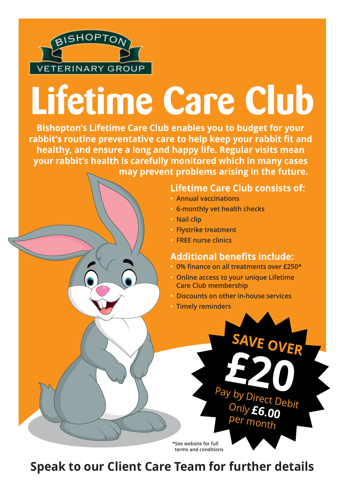

# **Lifetime Care Club**

**Bishopton's Lifetime Care Club enables you to budget for your rabbit's routine preventative care to help keep your rabbit fit and healthy, and ensure a long and happy life. Regular visits mean your rabbit's health is carefully monitored which in many cases may prevent problems arising in the future.**

#### **Lifetime Care Club consists of:**

- **Annual vaccinations**
- **6-monthly vet health checks**
- **Nail clip**
- **Flystrike treatment**
- **FREE nurse clinics**

#### **Additional benefits include:**

- **0% finance on all treatments over £250\***
- **Online access to your unique Lifetime Care Club membership**
- **Discounts on other in-house services**

**SAVE OVER**

**£20**

Pay by Direct Debit Only **£6.00** per month

**• Timely reminders**

**\*See website for full terms and conditions**

### **Speak to our Client Care Team for further details**